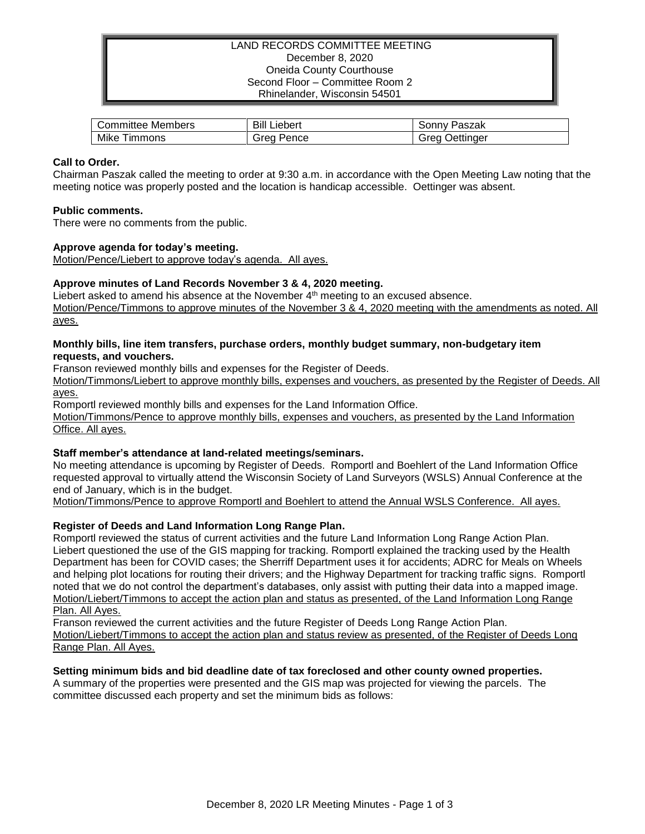# LAND RECORDS COMMITTEE MEETING December 8, 2020 Oneida County Courthouse Second Floor – Committee Room 2 Rhinelander, Wisconsin 54501

| Members   | Bill    | Paszak    |
|-----------|---------|-----------|
| Committee | ∟iebert | , onnv    |
| Mike      | srea    | Jettinaer |
| I immons  | Pence   | oreo      |

# **Call to Order.**

Chairman Paszak called the meeting to order at 9:30 a.m. in accordance with the Open Meeting Law noting that the meeting notice was properly posted and the location is handicap accessible. Oettinger was absent.

#### **Public comments.**

There were no comments from the public.

#### **Approve agenda for today's meeting.**

Motion/Pence/Liebert to approve today's agenda. All ayes.

### **Approve minutes of Land Records November 3 & 4, 2020 meeting.**

Liebert asked to amend his absence at the November 4<sup>th</sup> meeting to an excused absence. Motion/Pence/Timmons to approve minutes of the November 3 & 4, 2020 meeting with the amendments as noted. All ayes.

#### **Monthly bills, line item transfers, purchase orders, monthly budget summary, non-budgetary item requests, and vouchers.**

Franson reviewed monthly bills and expenses for the Register of Deeds.

Motion/Timmons/Liebert to approve monthly bills, expenses and vouchers, as presented by the Register of Deeds. All ayes.

Romportl reviewed monthly bills and expenses for the Land Information Office.

Motion/Timmons/Pence to approve monthly bills, expenses and vouchers, as presented by the Land Information Office. All ayes.

### **Staff member's attendance at land-related meetings/seminars.**

No meeting attendance is upcoming by Register of Deeds. Romportl and Boehlert of the Land Information Office requested approval to virtually attend the Wisconsin Society of Land Surveyors (WSLS) Annual Conference at the end of January, which is in the budget.

Motion/Timmons/Pence to approve Romportl and Boehlert to attend the Annual WSLS Conference. All ayes.

### **Register of Deeds and Land Information Long Range Plan.**

Romportl reviewed the status of current activities and the future Land Information Long Range Action Plan. Liebert questioned the use of the GIS mapping for tracking. Romportl explained the tracking used by the Health Department has been for COVID cases; the Sherriff Department uses it for accidents; ADRC for Meals on Wheels and helping plot locations for routing their drivers; and the Highway Department for tracking traffic signs. Romportl noted that we do not control the department's databases, only assist with putting their data into a mapped image. Motion/Liebert/Timmons to accept the action plan and status as presented, of the Land Information Long Range Plan. All Ayes.

Franson reviewed the current activities and the future Register of Deeds Long Range Action Plan. Motion/Liebert/Timmons to accept the action plan and status review as presented, of the Register of Deeds Long Range Plan. All Ayes.

### **Setting minimum bids and bid deadline date of tax foreclosed and other county owned properties.**

A summary of the properties were presented and the GIS map was projected for viewing the parcels. The committee discussed each property and set the minimum bids as follows: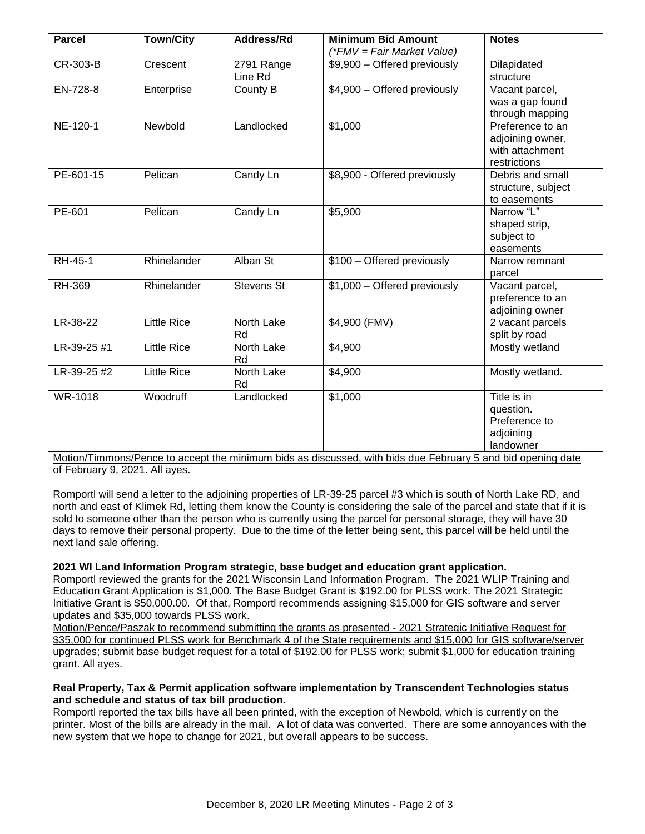| <b>Parcel</b> | <b>Town/City</b>   | Address/Rd            | <b>Minimum Bid Amount</b><br>(*FMV = Fair Market Value) | <b>Notes</b>                                                            |
|---------------|--------------------|-----------------------|---------------------------------------------------------|-------------------------------------------------------------------------|
| CR-303-B      | Crescent           | 2791 Range<br>Line Rd | \$9,900 - Offered previously                            | Dilapidated<br>structure                                                |
| EN-728-8      | Enterprise         | County B              | \$4,900 - Offered previously                            | Vacant parcel,<br>was a gap found<br>through mapping                    |
| NE-120-1      | Newbold            | Landlocked            | \$1,000                                                 | Preference to an<br>adjoining owner,<br>with attachment<br>restrictions |
| PE-601-15     | Pelican            | Candy Ln              | \$8,900 - Offered previously                            | Debris and small<br>structure, subject<br>to easements                  |
| PE-601        | Pelican            | Candy Ln              | \$5,900                                                 | Narrow "L"<br>shaped strip,<br>subject to<br>easements                  |
| RH-45-1       | Rhinelander        | Alban St              | \$100 - Offered previously                              | Narrow remnant<br>parcel                                                |
| <b>RH-369</b> | Rhinelander        | <b>Stevens St</b>     | \$1,000 - Offered previously                            | Vacant parcel,<br>preference to an<br>adjoining owner                   |
| LR-38-22      | <b>Little Rice</b> | North Lake<br>Rd      | \$4,900 (FMV)                                           | 2 vacant parcels<br>split by road                                       |
| LR-39-25 #1   | <b>Little Rice</b> | North Lake<br>Rd      | \$4,900                                                 | Mostly wetland                                                          |
| LR-39-25 #2   | <b>Little Rice</b> | North Lake<br>Rd      | \$4,900                                                 | Mostly wetland.                                                         |
| WR-1018       | Woodruff           | Landlocked            | \$1,000                                                 | Title is in<br>question.<br>Preference to<br>adjoining<br>landowner     |

Motion/Timmons/Pence to accept the minimum bids as discussed, with bids due February 5 and bid opening date of February 9, 2021. All ayes.

Romportl will send a letter to the adjoining properties of LR-39-25 parcel #3 which is south of North Lake RD, and north and east of Klimek Rd, letting them know the County is considering the sale of the parcel and state that if it is sold to someone other than the person who is currently using the parcel for personal storage, they will have 30 days to remove their personal property. Due to the time of the letter being sent, this parcel will be held until the next land sale offering.

### **2021 WI Land Information Program strategic, base budget and education grant application.**

Romportl reviewed the grants for the 2021 Wisconsin Land Information Program. The 2021 WLIP Training and Education Grant Application is \$1,000. The Base Budget Grant is \$192.00 for PLSS work. The 2021 Strategic Initiative Grant is \$50,000.00. Of that, Romportl recommends assigning \$15,000 for GIS software and server updates and \$35,000 towards PLSS work.

Motion/Pence/Paszak to recommend submitting the grants as presented - 2021 Strategic Initiative Request for \$35,000 for continued PLSS work for Benchmark 4 of the State requirements and \$15,000 for GIS software/server upgrades; submit base budget request for a total of \$192.00 for PLSS work; submit \$1,000 for education training grant. All ayes.

# **Real Property, Tax & Permit application software implementation by Transcendent Technologies status and schedule and status of tax bill production.**

Romportl reported the tax bills have all been printed, with the exception of Newbold, which is currently on the printer. Most of the bills are already in the mail. A lot of data was converted. There are some annoyances with the new system that we hope to change for 2021, but overall appears to be success.